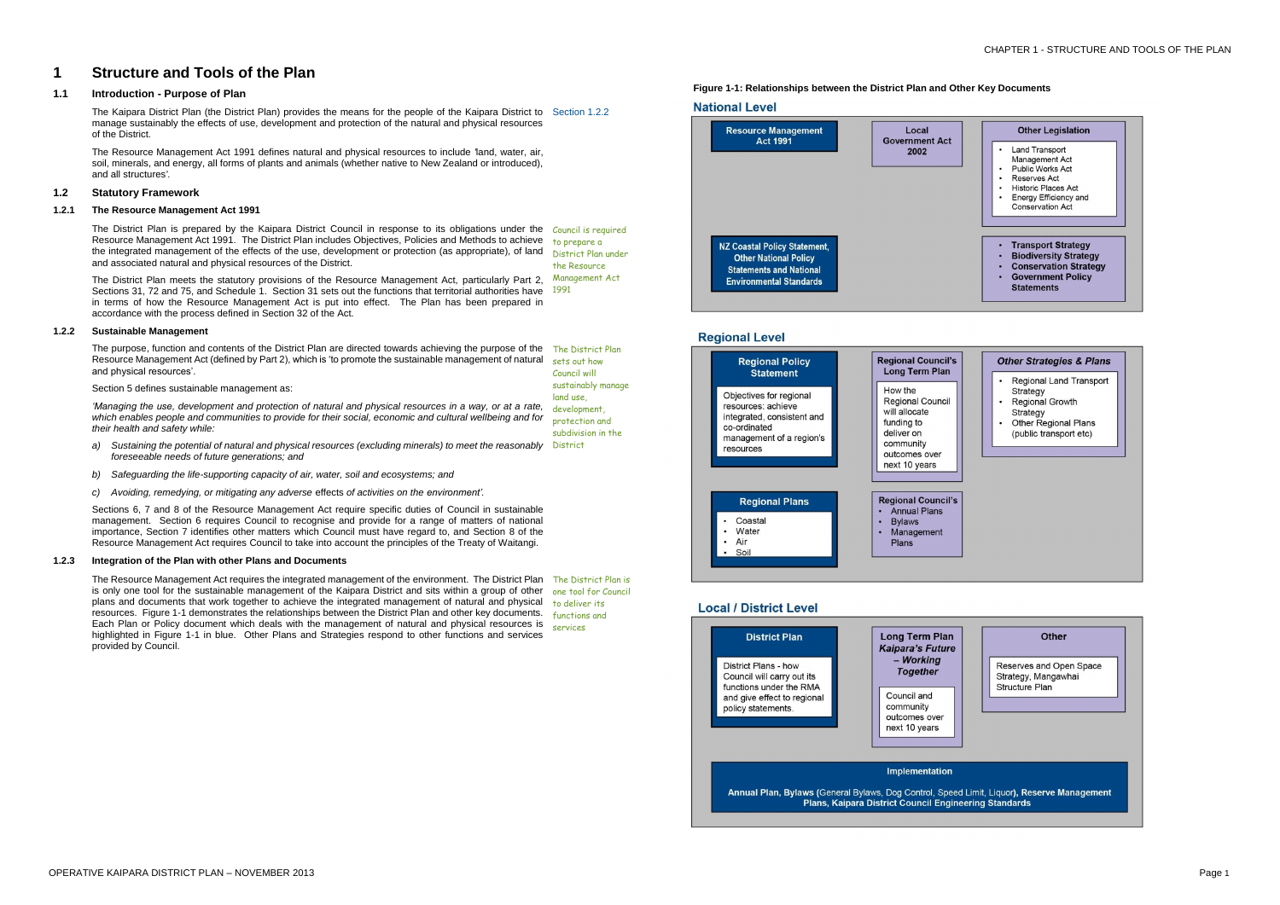| <b>Other Legislation</b> |  |
|--------------------------|--|
|                          |  |
|                          |  |

- **Land Transport**
- Management Act
- Public Works Act
- **Reserves Act Historic Places Act**
- · Energy Efficiency and
- Conservation Act
- Transport Strategy
- Biodiversity Strategy
- Conservation Strategy
- Government Policy
- **Statements**

## **Other Strategies & Plans**

- **Regional Land Transport** Strategy
- Regional Growth
- Strategy
- Other Regional Plans (public transport etc)

## **Other**

Reserves and Open Space Strategy, Mangawhai Structure Plan

# **1 Structure and Tools of the Plan**

## **1.1 Introduction - Purpose of Plan**

The Kaipara District Plan (the District Plan) provides the means for the people of the Kaipara District to Section 1.2.2 manage sustainably the effects of use, development and protection of the natural and physical resources of the District.

The Resource Management Act 1991 defines natural and physical resources to include *'*land, water, air, soil, minerals, and energy, all forms of plants and animals (whether native to New Zealand or introduced), and all structures*'*.

## **1.2 Statutory Framework**

## **1.2.1 The Resource Management Act 1991**

The District Plan meets the statutory provisions of the Resource Management Act, particularly Part 2, Management Act Sections 31, 72 and 75, and Schedule 1. Section 31 sets out the functions that territorial authorities have 1991 in terms of how the Resource Management Act is put into effect. The Plan has been prepared in accordance with the process defined in Section 32 of the Act.

The District Plan is prepared by the Kaipara District Council in response to its obligations under the Council is required Resource Management Act 1991. The District Plan includes Objectives, Policies and Methods to achieve <sub>arbi</sub>prepare a the integrated management of the effects of the use, development or protection (as appropriate), of land District Plan under and associated natural and physical resources of the District. the Resource

- a) Sustaining the potential of natural and physical resources (excluding minerals) to meet the reasonably District *foreseeable needs of future generations; and*
- *b) Safeguarding the life-supporting capacity of air, water, soil and ecosystems; and*
- *c) Avoiding, remedying, or mitigating any adverse* effects *of activities on the environment'.*

## **1.2.2 Sustainable Management**

## Section 5 defines sustainable management as:

The Resource Management Act requires the integrated management of the environment. The District Plan The District Plan is is only one tool for the sustainable management of the Kaipara District and sits within a group of other one tool for Council plans and documents that work together to achieve the integrated management of natural and physical to deliver its resources. Figure 1-1 demonstrates the relationships between the District Plan and other key documents. Functions and Each Plan or Policy document which deals with the management of natural and physical resources is services highlighted in Figure 1-1 in blue. Other Plans and Strategies respond to other functions and services provided by Council.

The purpose, function and contents of the District Plan are directed towards achieving the purpose of the Resource Management Act (defined by Part 2), which is 'to promote the sustainable management of natural and physical resources'. The District Plan sets out how Council will

*'Managing the use, development and protection of natural and physical resources in a way, or at a rate, which enables people and communities to provide for their social, economic and cultural wellbeing and for their health and safety while:* development, protection and subdivision in the

Sections 6, 7 and 8 of the Resource Management Act require specific duties of Council in sustainable management. Section 6 requires Council to recognise and provide for a range of matters of national importance, Section 7 identifies other matters which Council must have regard to, and Section 8 of the Resource Management Act requires Council to take into account the principles of the Treaty of Waitangi.

sustainably manage

land use,

## **1.2.3 Integration of the Plan with other Plans and Documents**

 **Figure 1-1: Relationships between the District Plan and Other Key Documents**









## **Local / District Level**

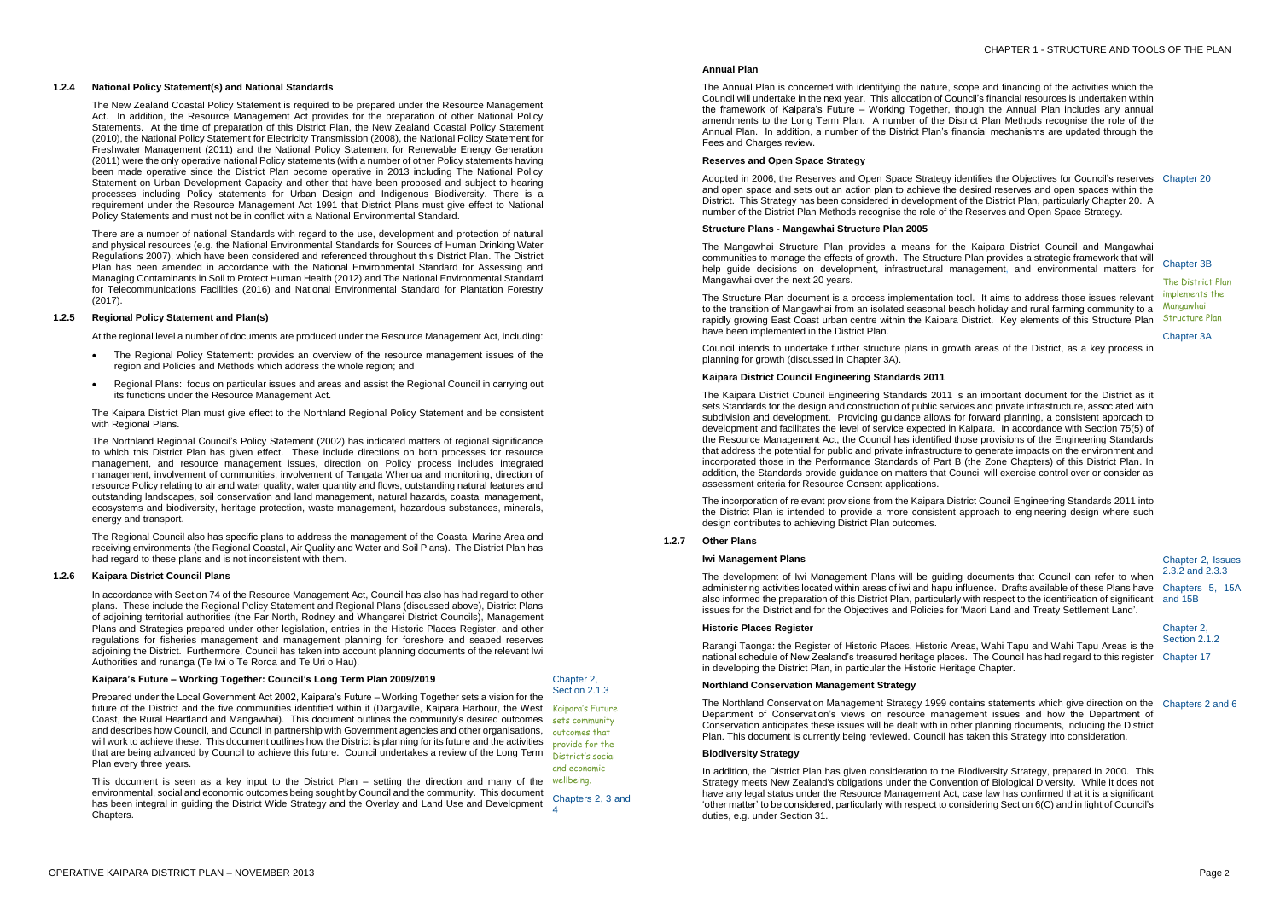## **1.2.4 National Policy Statement(s) and National Standards**

The New Zealand Coastal Policy Statement is required to be prepared under the Resource Management Act. In addition, the Resource Management Act provides for the preparation of other National Policy Statements. At the time of preparation of this District Plan, the New Zealand Coastal Policy Statement (2010), the National Policy Statement for Electricity Transmission (2008), the National Policy Statement for Freshwater Management (2011) and the National Policy Statement for Renewable Energy Generation (2011) were the only operative national Policy statements (with a number of other Policy statements having been made operative since the District Plan become operative in 2013 including The National Policy Statement on Urban Development Capacity and other that have been proposed and subject to hearing processes including Policy statements for Urban Design and Indigenous Biodiversity. There is a requirement under the Resource Management Act 1991 that District Plans must give effect to National Policy Statements and must not be in conflict with a National Environmental Standard.

There are a number of national Standards with regard to the use, development and protection of natural and physical resources (e.g. the National Environmental Standards for Sources of Human Drinking Water Regulations 2007), which have been considered and referenced throughout this District Plan. The District Plan has been amended in accordance with the National Environmental Standard for Assessing and Managing Contaminants in Soil to Protect Human Health (2012) and The National Environmental Standard for Telecommunications Facilities (2016) and National Environmental Standard for Plantation Forestry (2017).

## **1.2.5 Regional Policy Statement and Plan(s)**

At the regional level a number of documents are produced under the Resource Management Act, including:

- The Regional Policy Statement: provides an overview of the resource management issues of the region and Policies and Methods which address the whole region; and
- Regional Plans: focus on particular issues and areas and assist the Regional Council in carrying out its functions under the Resource Management Act.

The Kaipara District Plan must give effect to the Northland Regional Policy Statement and be consistent with Regional Plans.

This document is seen as a key input to the District Plan – setting the direction and many of the wellbeing. environmental, social and economic outcomes being sought by Council and the community. This document has been integral in guiding the District Wide Strategy and the Overlay and Land Use and Development Chapters. 4

The Northland Regional Council's Policy Statement (2002) has indicated matters of regional significance to which this District Plan has given effect. These include directions on both processes for resource management, and resource management issues, direction on Policy process includes integrated management, involvement of communities, involvement of Tangata Whenua and monitoring, direction of resource Policy relating to air and water quality, water quantity and flows, outstanding natural features and outstanding landscapes, soil conservation and land management, natural hazards, coastal management, ecosystems and biodiversity, heritage protection, waste management, hazardous substances, minerals, energy and transport.

The Regional Council also has specific plans to address the management of the Coastal Marine Area and receiving environments (the Regional Coastal, Air Quality and Water and Soil Plans). The District Plan has had regard to these plans and is not inconsistent with them.

## **1.2.6 Kaipara District Council Plans**

In accordance with Section 74 of the Resource Management Act, Council has also has had regard to other plans. These include the Regional Policy Statement and Regional Plans (discussed above), District Plans of adjoining territorial authorities (the Far North, Rodney and Whangarei District Councils), Management Plans and Strategies prepared under other legislation, entries in the Historic Places Register, and other regulations for fisheries management and management planning for foreshore and seabed reserves adjoining the District. Furthermore, Council has taken into account planning documents of the relevant Iwi Authorities and runanga (Te Iwi o Te Roroa and Te Uri o Hau).

## **Kaipara's Future – Working Together: Council's Long Term Plan 2009/2019**

Prepared under the Local Government Act 2002, Kaipara's Future – Working Together sets a vision for the future of the District and the five communities identified within it (Dargaville, Kaipara Harbour, the West Kaipara's Future Coast, the Rural Heartland and Mangawhai). This document outlines the community's desired outcomes sets community and describes how Council, and Council in partnership with Government agencies and other organisations, will work to achieve these. This document outlines how the District is planning for its future and the activities that are being advanced by Council to achieve this future. Council undertakes a review of the Long Term Plan every three years.

Chapter 2, Section 2.1.3

outcomes that provide for the District's social and economic Chapters 2, 3 and

## **Annual Plan**

The Annual Plan is concerned with identifying the nature, scope and financing of the activities which the Council will undertake in the next year. This allocation of Council's financial resources is undertaken within the framework of Kaipara's Future – Working Together, though the Annual Plan includes any annual amendments to the Long Term Plan. A number of the District Plan Methods recognise the role of the Annual Plan. In addition, a number of the District Plan's financial mechanisms are updated through the Fees and Charges review.

## **Reserves and Open Space Strategy**

Adopted in 2006, the Reserves and Open Space Strategy identifies the Objectives for Council's reserves Chapter 20 and open space and sets out an action plan to achieve the desired reserves and open spaces within the District. This Strategy has been considered in development of the District Plan, particularly Chapter 20. A number of the District Plan Methods recognise the role of the Reserves and Open Space Strategy.

## **Structure Plans - Mangawhai Structure Plan 2005**

The Mangawhai Structure Plan provides a means for the Kaipara District Council and Mangawhai communities to manage the effects of growth. The Structure Plan provides a strategic framework that will help guide decisions on development, infrastructural management, and environmental matters for Mangawhai over the next 20 years.

The Structure Plan document is a process implementation tool. It aims to address those issues relevant to the transition of Mangawhai from an isolated seasonal beach holiday and rural farming community to a rapidly growing East Coast urban centre within the Kaipara District. Key elements of this Structure Plan Structure Plan have been implemented in the District Plan.

Council intends to undertake further structure plans in growth areas of the District, as a key process in planning for growth (discussed in Chapter 3A).

## Chapter 3B

The District Plan implements the Mangawhai

Chapter 3A

## **Kaipara District Council Engineering Standards 2011**

The Kaipara District Council Engineering Standards 2011 is an important document for the District as it sets Standards for the design and construction of public services and private infrastructure, associated with subdivision and development. Providing guidance allows for forward planning, a consistent approach to development and facilitates the level of service expected in Kaipara. In accordance with Section 75(5) of the Resource Management Act, the Council has identified those provisions of the Engineering Standards that address the potential for public and private infrastructure to generate impacts on the environment and incorporated those in the Performance Standards of Part B (the Zone Chapters) of this District Plan. In addition, the Standards provide guidance on matters that Council will exercise control over or consider as assessment criteria for Resource Consent applications.

The incorporation of relevant provisions from the Kaipara District Council Engineering Standards 2011 into the District Plan is intended to provide a more consistent approach to engineering design where such design contributes to achieving District Plan outcomes.

## **1.2.7 Other Plans**

## **Iwi Management Plans**

The development of Iwi Management Plans will be guiding documents that Council can refer to when administering activities located within areas of iwi and hapu influence. Drafts available of these Plans have Chapters 5, 15A also informed the preparation of this District Plan, particularly with respect to the identification of significant and 15B issues for the District and for the Objectives and Policies for 'Maori Land and Treaty Settlement Land'.

Chapter 2, Issues 2.3.2 and 2.3.3

## **Historic Places Register**

Rarangi Taonga: the Register of Historic Places, Historic Areas, Wahi Tapu and Wahi Tapu Areas is the national schedule of New Zealand's treasured heritage places. The Council has had regard to this register Chapter 17 in developing the District Plan, in particular the Historic Heritage Chapter.

Chapter 2, Section 2.1.2

## **Northland Conservation Management Strategy**

The Northland Conservation Management Strategy 1999 contains statements which give direction on the Chapters 2 and 6 Department of Conservation's views on resource management issues and how the Department of Conservation anticipates these issues will be dealt with in other planning documents, including the District Plan. This document is currently being reviewed. Council has taken this Strategy into consideration.

## **Biodiversity Strategy**

In addition, the District Plan has given consideration to the Biodiversity Strategy, prepared in 2000. This Strategy meets New Zealand's obligations under the Convention of Biological Diversity. While it does not have any legal status under the Resource Management Act, case law has confirmed that it is a significant 'other matter' to be considered, particularly with respect to considering Section 6(C) and in light of Council's duties, e.g. under Section 31.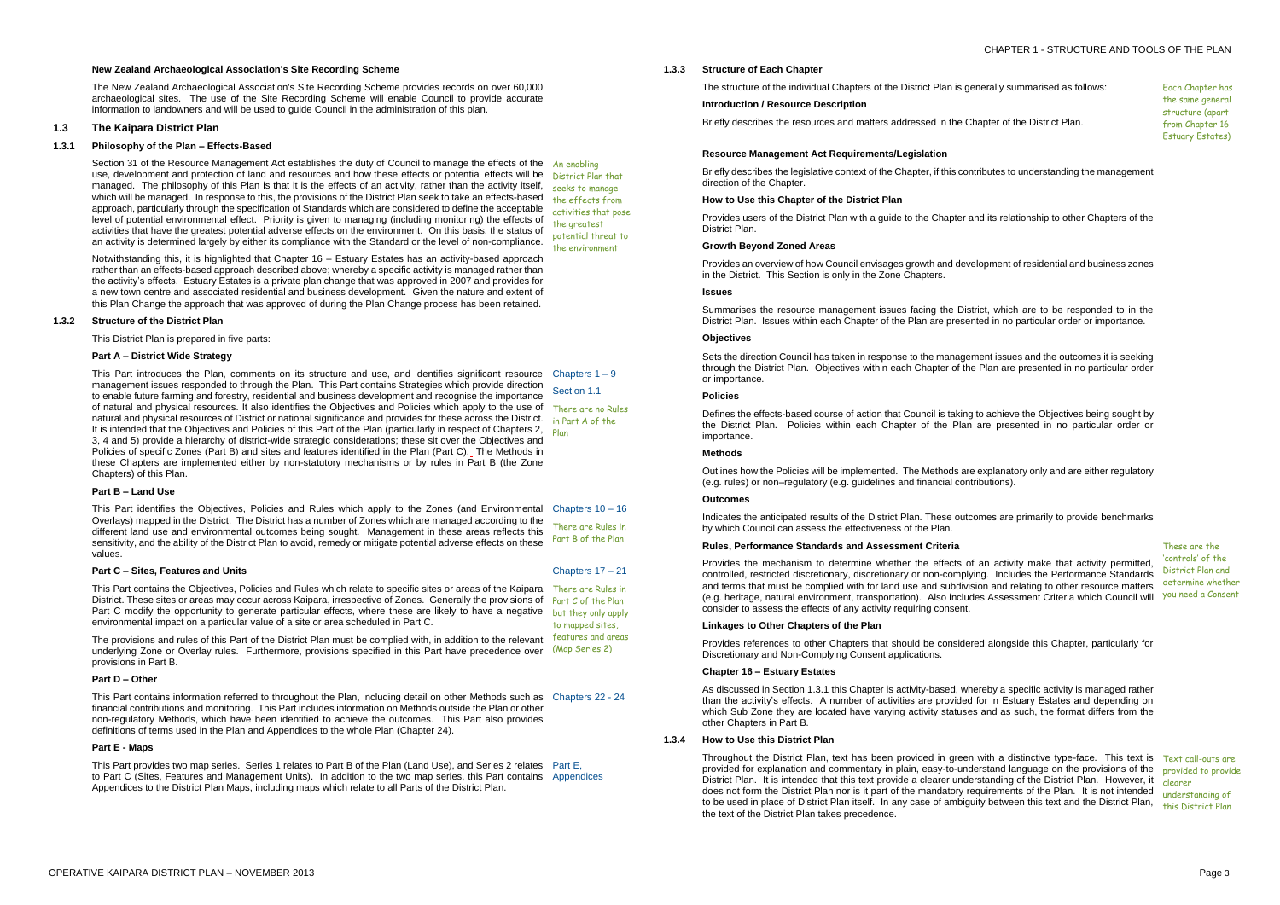## CHAPTER 1 - STRUCTURE AND TOOLS OF THE PLAN

## **New Zealand Archaeological Association's Site Recording Scheme**

The New Zealand Archaeological Association's Site Recording Scheme provides records on over 60,000 archaeological sites. The use of the Site Recording Scheme will enable Council to provide accurate information to landowners and will be used to guide Council in the administration of this plan.

## **1.3 The Kaipara District Plan**

#### **1.3.1 Philosophy of the Plan – Effects-Based**

Section 31 of the Resource Management Act establishes the duty of Council to manage the effects of the An enabling use, development and protection of land and resources and how these effects or potential effects will be managed. The philosophy of this Plan is that it is the effects of an activity, rather than the activity itself, which will be managed. In response to this, the provisions of the District Plan seek to take an effects-based approach, particularly through the specification of Standards which are considered to define the acceptable level of potential environmental effect. Priority is given to managing (including monitoring) the effects of activities that have the greatest potential adverse effects on the environment. On this basis, the status of an activity is determined largely by either its compliance with the Standard or the level of non-compliance.

> Chapters  $1 - 9$ Section 1.1

Notwithstanding this, it is highlighted that Chapter 16 – Estuary Estates has an activity-based approach rather than an effects-based approach described above; whereby a specific activity is managed rather than the activity's effects. Estuary Estates is a private plan change that was approved in 2007 and provides for a new town centre and associated residential and business development. Given the nature and extent of this Plan Change the approach that was approved of during the Plan Change process has been retained.

District Plan that seeks to manage the effects from activities that pose the greatest potential threat to the environment

#### **1.3.2 Structure of the District Plan**

This Part contains the Objectives, Policies and Rules which relate to specific sites or areas of the Kaipara There are Rules in District. These sites or areas may occur across Kaipara, irrespective of Zones. Generally the provisions of Part C of the Plan Part C modify the opportunity to generate particular effects, where these are likely to have a negative environmental impact on a particular value of a site or area scheduled in Part C.

This District Plan is prepared in five parts:

## **Part A – District Wide Strategy**

This Part introduces the Plan, comments on its structure and use, and identifies significant resource management issues responded to through the Plan. This Part contains Strategies which provide direction to enable future farming and forestry, residential and business development and recognise the importance of natural and physical resources. It also identifies the Objectives and Policies which apply to the use of There are no Rules natural and physical resources of District or national significance and provides for these across the District. in Part A of the It is intended that the Objectives and Policies of this Part of the Plan (particularly in respect of Chapters 2, <sub>Plan</sub> 3, 4 and 5) provide a hierarchy of district-wide strategic considerations; these sit over the Objectives and Policies of specific Zones (Part B) and sites and features identified in the Plan (Part C). The Methods in these Chapters are implemented either by non-statutory mechanisms or by rules in Part B (the Zone Chapters) of this Plan.

## **Part B – Land Use**

This Part identifies the Objectives, Policies and Rules which apply to the Zones (and Environmental Chapters 10 – 16 Overlays) mapped in the District. The District has a number of Zones which are managed according to the different land use and environmental outcomes being sought. Management in these areas reflects this sensitivity, and the ability of the District Plan to avoid, remedy or mitigate potential adverse effects on these values. There are Rules in Part B of the Plan

## **Part C – Sites, Features and Units**

The provisions and rules of this Part of the District Plan must be complied with, in addition to the relevant underlying Zone or Overlay rules. Furthermore, provisions specified in this Part have precedence over (Map Series 2) provisions in Part B.

Chapters 17 – 21

but they only apply to mapped sites, features and areas

Throughout the District Plan, text has been provided in green with a distinctive type-face. This text is Text call-outs are provided for explanation and commentary in plain, easy-to-understand language on the provisions of the provided to provide District Plan. It is intended that this text provide a clearer understanding of the District Plan. However, it clearer does not form the District Plan nor is it part of the mandatory requirements of the Plan. It is not intended to be used in place of District Plan itself. In any case of ambiguity between this text and the District Plan, the text of the District Plan takes precedence.

#### **Part D – Other**

This Part contains information referred to throughout the Plan, including detail on other Methods such as Chapters 22 - 24 financial contributions and monitoring. This Part includes information on Methods outside the Plan or other non-regulatory Methods, which have been identified to achieve the outcomes. This Part also provides definitions of terms used in the Plan and Appendices to the whole Plan (Chapter 24).

## **Part E - Maps**

This Part provides two map series. Series 1 relates to Part B of the Plan (Land Use), and Series 2 relates Part E, to Part C (Sites, Features and Management Units). In addition to the two map series, this Part contains Appendices Appendices to the District Plan Maps, including maps which relate to all Parts of the District Plan.

## **1.3.3 Structure of Each Chapter**

The structure of the individual Chapters of the District Plan is generally summarised as follows:

#### **Introduction / Resource Description**

Briefly describes the resources and matters addressed in the Chapter of the District Plan.

Each Chapter has the same general structure (apart from Chapter 16 Estuary Estates)

#### **Resource Management Act Requirements/Legislation**

Briefly describes the legislative context of the Chapter, if this contributes to understanding the management direction of the Chapter.

## **How to Use this Chapter of the District Plan**

Provides users of the District Plan with a guide to the Chapter and its relationship to other Chapters of the District Plan.

#### **Growth Beyond Zoned Areas**

Provides an overview of how Council envisages growth and development of residential and business zones in the District. This Section is only in the Zone Chapters.

#### **Issues**

Summarises the resource management issues facing the District, which are to be responded to in the District Plan. Issues within each Chapter of the Plan are presented in no particular order or importance.

## **Objectives**

Sets the direction Council has taken in response to the management issues and the outcomes it is seeking through the District Plan. Objectives within each Chapter of the Plan are presented in no particular order or importance.

## **Policies**

Defines the effects-based course of action that Council is taking to achieve the Objectives being sought by the District Plan. Policies within each Chapter of the Plan are presented in no particular order or importance.

## **Methods**

Outlines how the Policies will be implemented. The Methods are explanatory only and are either regulatory (e.g. rules) or non–regulatory (e.g. guidelines and financial contributions).

## **Outcomes**

Indicates the anticipated results of the District Plan. These outcomes are primarily to provide benchmarks by which Council can assess the effectiveness of the Plan.

## **Rules, Performance Standards and Assessment Criteria**

Provides the mechanism to determine whether the effects of an activity make that activity permitted, controlled, restricted discretionary, discretionary or non-complying. Includes the Performance Standards and terms that must be complied with for land use and subdivision and relating to other resource matters (e.g. heritage, natural environment, transportation). Also includes Assessment Criteria which Council will vou need a Consent consider to assess the effects of any activity requiring consent.

These are the 'controls' of the District Plan and determine whether

#### **Linkages to Other Chapters of the Plan**

Provides references to other Chapters that should be considered alongside this Chapter, particularly for Discretionary and Non-Complying Consent applications.

#### **Chapter 16 – Estuary Estates**

As discussed in Section 1.3.1 this Chapter is activity-based, whereby a specific activity is managed rather than the activity's effects. A number of activities are provided for in Estuary Estates and depending on which Sub Zone they are located have varying activity statuses and as such, the format differs from the other Chapters in Part B.

## **1.3.4 How to Use this District Plan**

understanding of this District Plan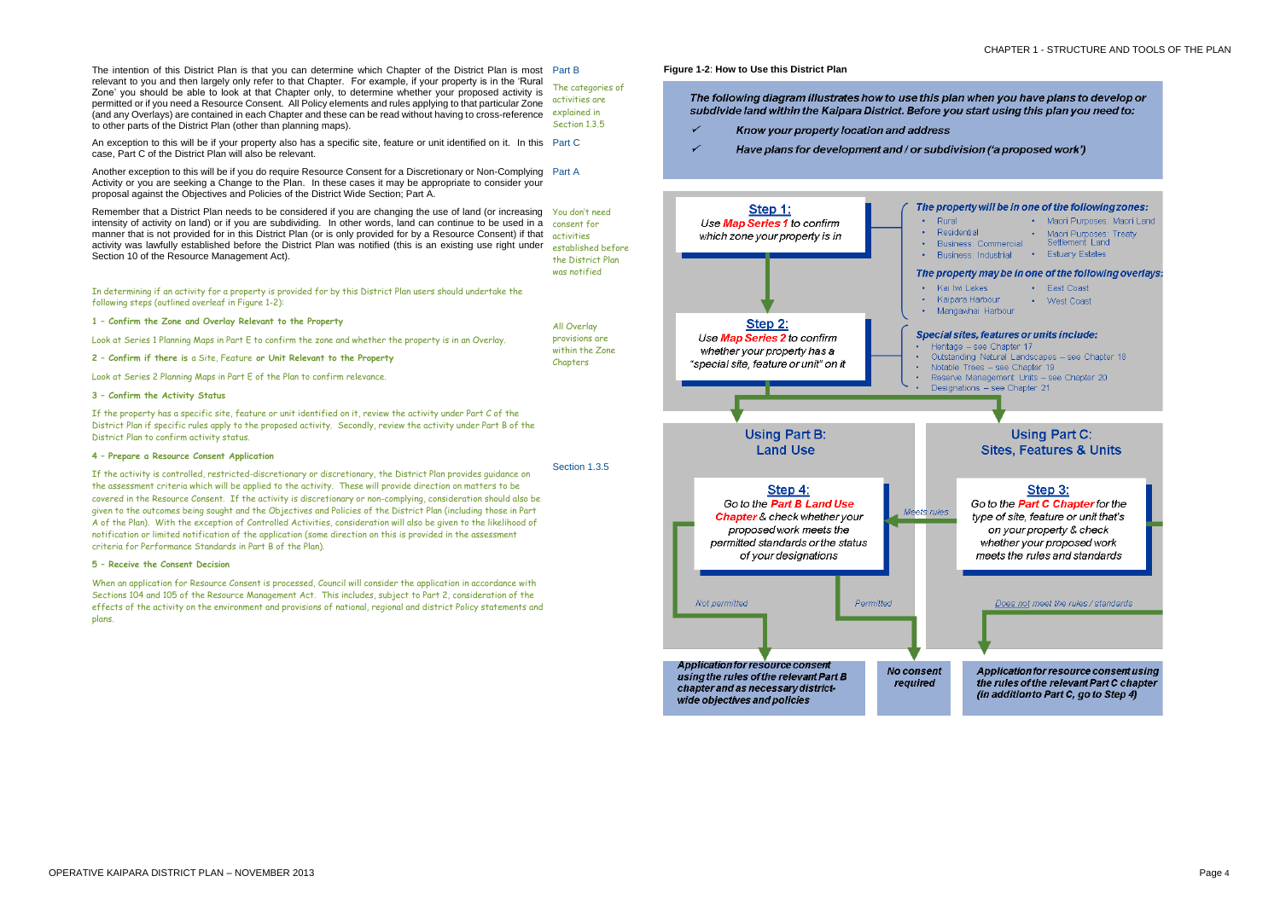

plans.